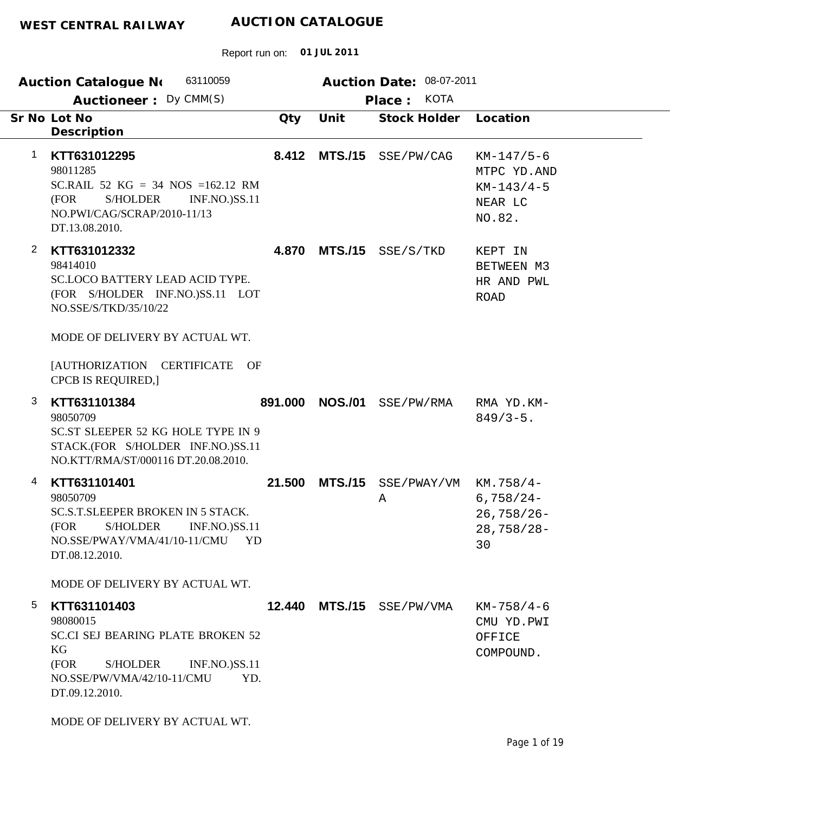|                | 63110059<br><b>Auction Catalogue No</b>                                                                                                                                                                                                           |         |                | Auction Date: 08-07-2011              |                                                                  |
|----------------|---------------------------------------------------------------------------------------------------------------------------------------------------------------------------------------------------------------------------------------------------|---------|----------------|---------------------------------------|------------------------------------------------------------------|
|                | Auctioneer: Dy CMM(S)<br>Sr No Lot No<br>Description                                                                                                                                                                                              | Qty     | Unit           | <b>KOTA</b><br>Place:<br>Stock Holder | Location                                                         |
| 1              | KTT631012295<br>98011285<br>SC.RAIL 52 $KG = 34$ NOS =162.12 RM<br>(FOR<br>S/HOLDER<br><b>INF.NO.)SS.11</b><br>NO.PWI/CAG/SCRAP/2010-11/13<br>DT.13.08.2010.                                                                                      |         |                | 8.412 MTS./15 SSE/PW/CAG              | $KM-147/5-6$<br>MTPC YD.AND<br>$KM-143/4-5$<br>NEAR LC<br>NO.82. |
| $\overline{2}$ | KTT631012332<br>98414010<br><b>SC.LOCO BATTERY LEAD ACID TYPE.</b><br>(FOR S/HOLDER INF.NO.)SS.11 LOT<br>NO.SSE/S/TKD/35/10/22<br>MODE OF DELIVERY BY ACTUAL WT.<br>[AUTHORIZATION CERTIFICATE OF<br>CPCB IS REQUIRED,]                           |         |                | 4.870 MTS./15 SSE/S/TKD               | KEPT IN<br>BETWEEN M3<br>HR AND PWL<br><b>ROAD</b>               |
| 3              | KTT631101384<br>98050709<br>SC.ST SLEEPER 52 KG HOLE TYPE IN 9<br>STACK.(FOR S/HOLDER INF.NO.)SS.11<br>NO.KTT/RMA/ST/000116 DT.20.08.2010.                                                                                                        | 891.000 | <b>NOS./01</b> | SSE/PW/RMA                            | RMA YD.KM-<br>$849/3 - 5$ .                                      |
| 4              | KTT631101401<br>98050709<br><b>SC.S.T.SLEEPER BROKEN IN 5 STACK.</b><br>(FOR S/HOLDER<br>$INF.NO.$ $SS.11$<br>NO.SSE/PWAY/VMA/41/10-11/CMU YD<br>DT.08.12.2010.                                                                                   | 21.500  |                | MTS./15 SSE/PWAY/VM<br>Α              | KM.758/4-<br>$6,758/24-$<br>$26,758/26 -$<br>$28,758/28-$<br>30  |
| 5              | MODE OF DELIVERY BY ACTUAL WT.<br>KTT631101403<br>98080015<br><b>SC.CI SEJ BEARING PLATE BROKEN 52</b><br>KG<br>(FOR<br>S/HOLDER<br><b>INF.NO.)SS.11</b><br>NO.SSE/PW/VMA/42/10-11/CMU<br>YD.<br>DT.09.12.2010.<br>MODE OF DELIVERY BY ACTUAL WT. |         |                | 12.440 MTS./15 SSE/PW/VMA             | $KM-758/4-6$<br>CMU YD.PWI<br>OFFICE<br>COMPOUND.                |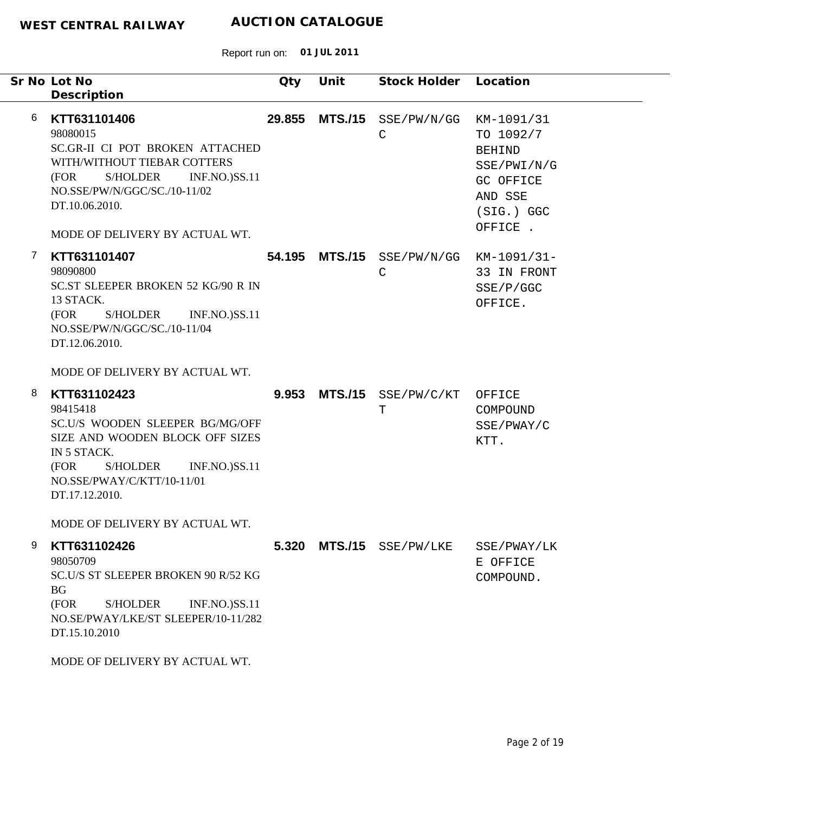|                | Sr No Lot No<br>Description                                                                                                                                                                                                                        | Qty    | Unit           | Stock Holder Location       |                                                                                                             |
|----------------|----------------------------------------------------------------------------------------------------------------------------------------------------------------------------------------------------------------------------------------------------|--------|----------------|-----------------------------|-------------------------------------------------------------------------------------------------------------|
| 6              | KTT631101406<br>98080015<br>SC.GR-II CI POT BROKEN ATTACHED<br>WITH/WITHOUT TIEBAR COTTERS<br><b>S/HOLDER</b><br><b>INF.NO.)SS.11</b><br>(FOR<br>NO.SSE/PW/N/GGC/SC./10-11/02<br>DT.10.06.2010.<br>MODE OF DELIVERY BY ACTUAL WT.                  | 29.855 | <b>MTS./15</b> | SSE/PW/N/GG<br>$\mathsf{C}$ | KM-1091/31<br>TO 1092/7<br><b>BEHIND</b><br>SSE/PWI/N/G<br>GC OFFICE<br>AND SSE<br>$(SIG.)$ GGC<br>OFFICE . |
| $\overline{7}$ | KTT631101407<br>98090800<br><b>SC.ST SLEEPER BROKEN 52 KG/90 R IN</b><br>13 STACK.<br>(FOR<br>S/HOLDER<br><b>INF.NO.)SS.11</b><br>NO.SSE/PW/N/GGC/SC./10-11/04<br>DT.12.06.2010.<br>MODE OF DELIVERY BY ACTUAL WT.                                 |        | 54.195 MTS./15 | SSE/PW/N/GG<br>$\mathsf{C}$ | KM-1091/31-<br>33 IN FRONT<br>SSE/P/GGC<br>OFFICE.                                                          |
| 8              | KTT631102423<br>98415418<br>SC.U/S WOODEN SLEEPER BG/MG/OFF<br>SIZE AND WOODEN BLOCK OFF SIZES<br>IN 5 STACK.<br>(FOR<br><b>S/HOLDER</b><br><b>INF.NO.)SS.11</b><br>NO.SSE/PWAY/C/KTT/10-11/01<br>DT.17.12.2010.<br>MODE OF DELIVERY BY ACTUAL WT. |        | 9.953 MTS./15  | SSE/PW/C/KT<br>$\mathbf T$  | OFFICE<br>COMPOUND<br>SSE/PWAY/C<br>KTT.                                                                    |
| 9              | KTT631102426<br>98050709<br>SC.U/S ST SLEEPER BROKEN 90 R/52 KG<br><b>BG</b><br>(FOR<br><b>INF.NO.)SS.11</b><br><b>S/HOLDER</b><br>NO.SE/PWAY/LKE/ST SLEEPER/10-11/282<br>DT.15.10.2010<br>MODE OF DELIVERY BY ACTUAL WT.                          |        | 5.320 MTS./15  | SSE/PW/LKE                  | SSE/PWAY/LK<br>E OFFICE<br>COMPOUND.                                                                        |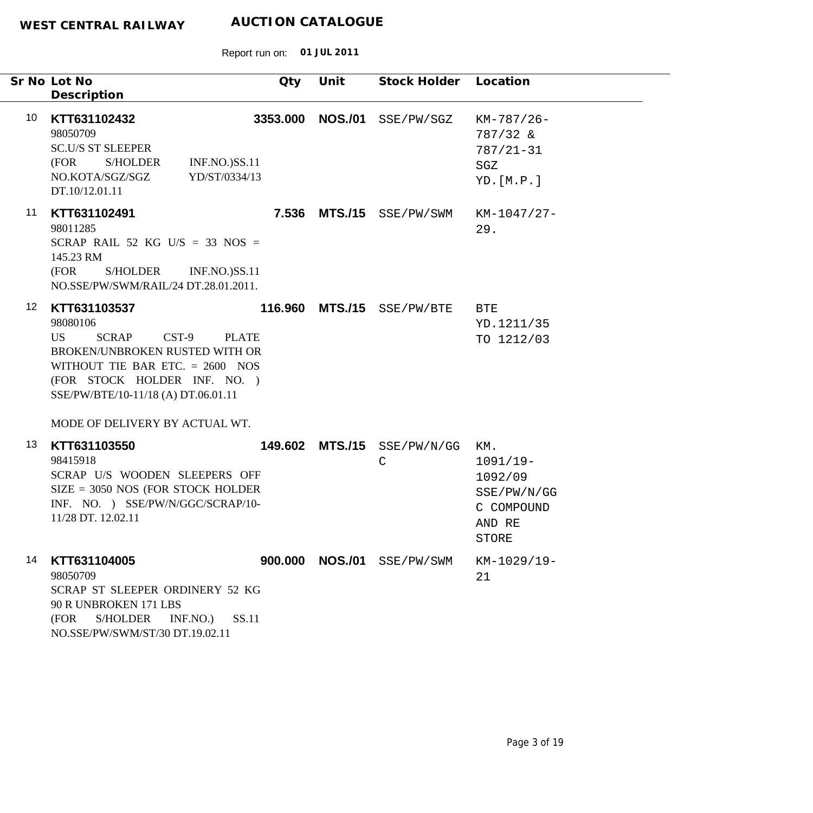|                  | Sr No Lot No<br>Description                                                                                                                                                                                                                                           | Qty      | Unit           | Stock Holder Location                      |                                                                                     |
|------------------|-----------------------------------------------------------------------------------------------------------------------------------------------------------------------------------------------------------------------------------------------------------------------|----------|----------------|--------------------------------------------|-------------------------------------------------------------------------------------|
| 10               | KTT631102432<br>98050709<br><b>SC.U/S ST SLEEPER</b><br>(FOR<br>S/HOLDER<br><b>INF.NO.)SS.11</b><br>NO.KOTA/SGZ/SGZ<br>YD/ST/0334/13<br>DT.10/12.01.11                                                                                                                | 3353.000 | <b>NOS./01</b> | SSE/PW/SGZ                                 | $KM-787/26-$<br>787/32 &<br>$787/21 - 31$<br>SGZ<br>YD.[M.P.]                       |
| 11               | KTT631102491<br>98011285<br>SCRAP RAIL 52 KG U/S = 33 NOS =<br>145.23 RM<br>(FOR<br>S/HOLDER<br><b>INF.NO.)SS.11</b><br>NO.SSE/PW/SWM/RAIL/24 DT.28.01.2011.                                                                                                          |          |                | 7.536 MTS./15 SSE/PW/SWM                   | KM-1047/27-<br>29.                                                                  |
| 12 <sup>12</sup> | KTT631103537<br>98080106<br><b>SCRAP</b><br>$CST-9$<br>US <sub>1</sub><br><b>PLATE</b><br>BROKEN/UNBROKEN RUSTED WITH OR<br>WITHOUT TIE BAR ETC. $= 2600$ NOS<br>(FOR STOCK HOLDER INF. NO.)<br>SSE/PW/BTE/10-11/18 (A) DT.06.01.11<br>MODE OF DELIVERY BY ACTUAL WT. |          |                | 116.960 MTS./15 SSE/PW/BTE                 | <b>BTE</b><br>YD.1211/35<br>TO 1212/03                                              |
| 13               | KTT631103550<br>98415918<br>SCRAP U/S WOODEN SLEEPERS OFF<br>$SIZE = 3050 NOS (FOR STOCK HOLDER)$<br>INF. NO. ) SSE/PW/N/GGC/SCRAP/10-<br>11/28 DT. 12.02.11                                                                                                          |          |                | 149.602 MTS./15 SSE/PW/N/GG<br>$\mathsf C$ | KM.<br>$1091/19-$<br>1092/09<br>SSE/PW/N/GG<br>C COMPOUND<br>AND RE<br><b>STORE</b> |
| 14               | KTT631104005<br>98050709<br>SCRAP ST SLEEPER ORDINERY 52 KG<br>90 R UNBROKEN 171 LBS<br><b>S/HOLDER</b><br>SS.11<br>(FOR<br>INF.NO.<br>NO.SSE/PW/SWM/ST/30 DT.19.02.11                                                                                                |          |                | 900.000 NOS./01 SSE/PW/SWM                 | KM-1029/19-<br>21                                                                   |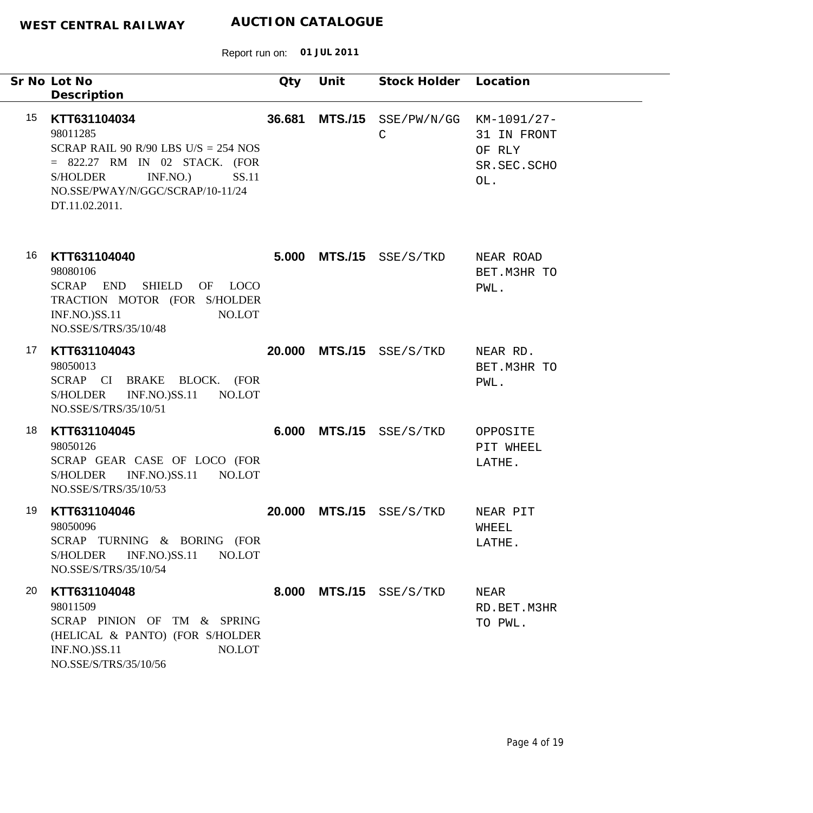| Sr No Lot No<br>Description                                                                                                                                                                              | Qty    | Unit           | Stock Holder                | Location                                                   |
|----------------------------------------------------------------------------------------------------------------------------------------------------------------------------------------------------------|--------|----------------|-----------------------------|------------------------------------------------------------|
| 15<br>KTT631104034<br>98011285<br>SCRAP RAIL 90 R/90 LBS U/S = $254$ NOS<br>$=$ 822.27 RM IN 02 STACK. (FOR<br>INF.NO.<br>SS.11<br><b>S/HOLDER</b><br>NO.SSE/PWAY/N/GGC/SCRAP/10-11/24<br>DT.11.02.2011. | 36.681 | <b>MTS./15</b> | SSE/PW/N/GG<br>$\mathsf{C}$ | KM-1091/27-<br>31 IN FRONT<br>OF RLY<br>SR.SEC.SCHO<br>OL. |
| 16<br>KTT631104040<br>98080106<br><b>SHIELD</b><br><b>SCRAP</b><br><b>END</b><br>OF LOCO<br>TRACTION MOTOR (FOR S/HOLDER<br><b>INF.NO.)SS.11</b><br>NO.LOT<br>NO.SSE/S/TRS/35/10/48                      | 5.000  |                | $MTS./15$ $SSE/S/TKD$       | NEAR ROAD<br>BET. M3HR TO<br>PWL.                          |
| 17<br>KTT631104043<br>98050013<br>SCRAP CI BRAKE BLOCK. (FOR<br><b>INF.NO.)SS.11</b><br>NO.LOT<br><b>S/HOLDER</b><br>NO.SSE/S/TRS/35/10/51                                                               | 20,000 |                | $MTS./15$ SSE/S/TKD         | NEAR RD.<br>BET. M3HR TO<br>PWL.                           |
| 18<br>KTT631104045<br>98050126<br>SCRAP GEAR CASE OF LOCO (FOR<br><b>S/HOLDER</b><br><b>INF.NO.)SS.11</b><br>NO.LOT<br>NO.SSE/S/TRS/35/10/53                                                             | 6.000  |                | MTS./15 SSE/S/TKD           | OPPOSITE<br>PIT WHEEL<br>LATHE.                            |
| 19<br>KTT631104046<br>98050096<br>SCRAP TURNING & BORING (FOR<br><b>S/HOLDER</b><br><b>INF.NO.)SS.11</b><br>NO.LOT<br>NO.SSE/S/TRS/35/10/54                                                              | 20,000 | <b>MTS./15</b> | SSE/S/TKD                   | NEAR PIT<br>WHEEL<br>LATHE.                                |
| 20<br>KTT631104048<br>98011509<br>SCRAP PINION OF TM & SPRING<br>(HELICAL & PANTO) (FOR S/HOLDER<br><b>INF.NO.)SS.11</b><br>NO.LOT<br>NO.SSE/S/TRS/35/10/56                                              | 8.000  |                | MTS./15 SSE/S/TKD           | NEAR<br>RD.BET.M3HR<br>TO PWL.                             |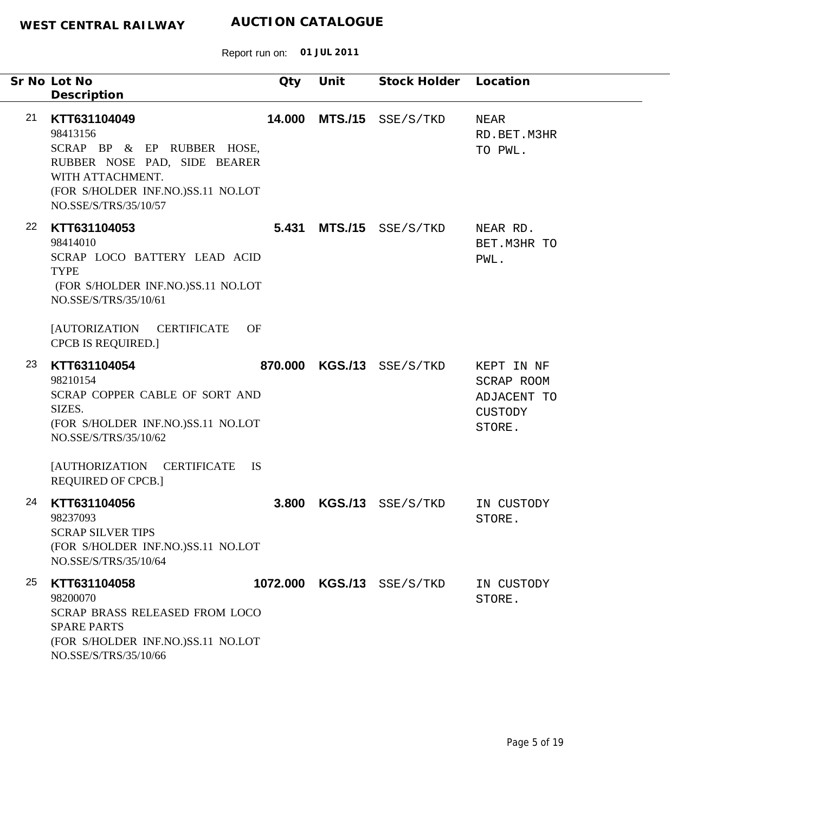| Sr No Lot No<br>Description                                                                                                                                                                                                   | Qty     | Unit | Stock Holder               | Location                                                     |
|-------------------------------------------------------------------------------------------------------------------------------------------------------------------------------------------------------------------------------|---------|------|----------------------------|--------------------------------------------------------------|
| 21<br>KTT631104049<br>98413156<br>SCRAP BP & EP RUBBER HOSE,<br>RUBBER NOSE PAD, SIDE BEARER<br>WITH ATTACHMENT.<br>(FOR S/HOLDER INF.NO.)SS.11 NO.LOT<br>NO.SSE/S/TRS/35/10/57                                               | 14.000  |      | MTS./15 SSE/S/TKD          | NEAR<br>RD.BET.M3HR<br>TO PWL.                               |
| 22<br>KTT631104053<br>98414010<br>SCRAP LOCO BATTERY LEAD ACID<br><b>TYPE</b><br>(FOR S/HOLDER INF.NO.)SS.11 NO.LOT<br>NO.SSE/S/TRS/35/10/61<br><b>[AUTORIZATION</b><br><b>CERTIFICATE</b><br>OF<br><b>CPCB IS REQUIRED.]</b> | 5.431   |      | MTS./15 SSE/S/TKD          | NEAR RD.<br>BET. M3HR TO<br>PWL.                             |
| 23<br>KTT631104054<br>98210154<br>SCRAP COPPER CABLE OF SORT AND<br>SIZES.<br>(FOR S/HOLDER INF.NO.)SS.11 NO.LOT<br>NO.SSE/S/TRS/35/10/62<br>[AUTHORIZATION CERTIFICATE<br><b>IS</b><br><b>REQUIRED OF CPCB.]</b>             | 870,000 |      | $KGS./13$ $SSE/S/TKD$      | KEPT IN NF<br>SCRAP ROOM<br>ADJACENT TO<br>CUSTODY<br>STORE. |
| 24<br>KTT631104056<br>98237093<br><b>SCRAP SILVER TIPS</b><br>(FOR S/HOLDER INF.NO.)SS.11 NO.LOT<br>NO.SSE/S/TRS/35/10/64                                                                                                     | 3.800   |      | KGS./13 SSE/S/TKD          | IN CUSTODY<br>STORE.                                         |
| 25<br>KTT631104058<br>98200070<br>SCRAP BRASS RELEASED FROM LOCO<br><b>SPARE PARTS</b><br>(FOR S/HOLDER INF.NO.)SS.11 NO.LOT<br>NO.SSE/S/TRS/35/10/66                                                                         |         |      | 1072.000 KGS./13 SSE/S/TKD | IN CUSTODY<br>STORE.                                         |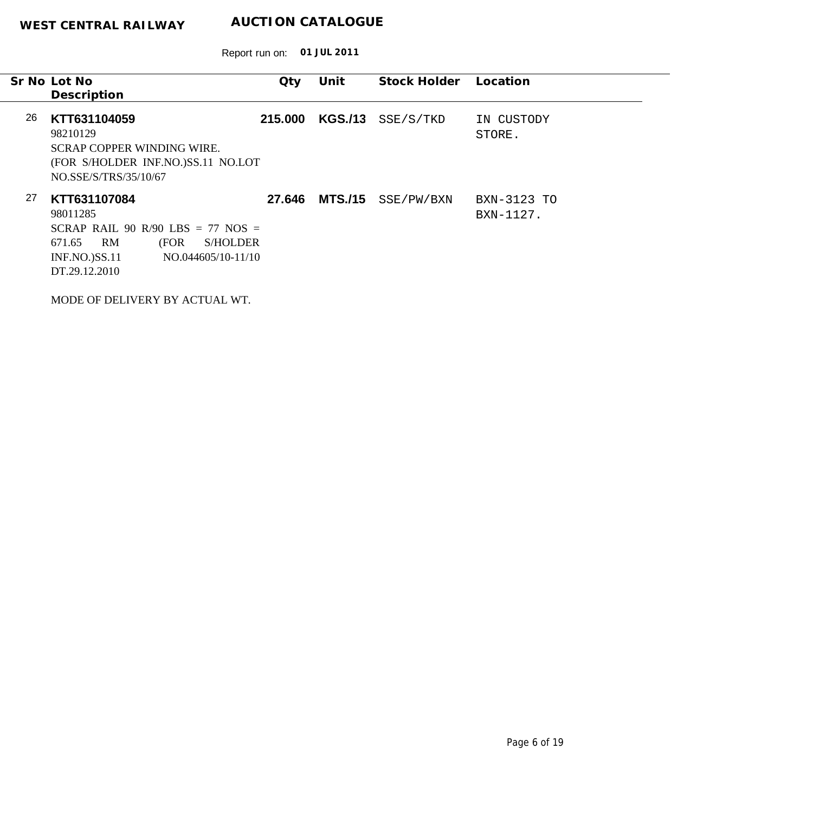|    | Sr No Lot No                               | Qty     | Unit           | Stock Holder | Location    |
|----|--------------------------------------------|---------|----------------|--------------|-------------|
|    | Description                                |         |                |              |             |
|    |                                            |         |                |              |             |
| 26 | KTT631104059                               | 215,000 | <b>KGS./13</b> | SSE/S/TKD    | IN CUSTODY  |
|    | 98210129                                   |         |                |              | STORE.      |
|    | <b>SCRAP COPPER WINDING WIRE.</b>          |         |                |              |             |
|    | (FOR S/HOLDER INF.NO.)SS.11 NO.LOT         |         |                |              |             |
|    | NO.SSE/S/TRS/35/10/67                      |         |                |              |             |
|    |                                            |         |                |              |             |
| 27 | KTT631107084                               | 27.646  | <b>MTS./15</b> | SSE/PW/BXN   | BXN-3123 TO |
|    | 98011285                                   |         |                |              | BXN-1127.   |
|    | SCRAP RAIL 90 R/90 LBS = 77 NOS =          |         |                |              |             |
|    | RM<br>(FOR<br><b>S/HOLDER</b><br>671.65    |         |                |              |             |
|    | <b>INF.NO.)SS.11</b><br>NO.044605/10-11/10 |         |                |              |             |
|    | DT.29.12.2010                              |         |                |              |             |
|    |                                            |         |                |              |             |
|    |                                            |         |                |              |             |
|    | MODE OF DELIVERY BY ACTUAL WT.             |         |                |              |             |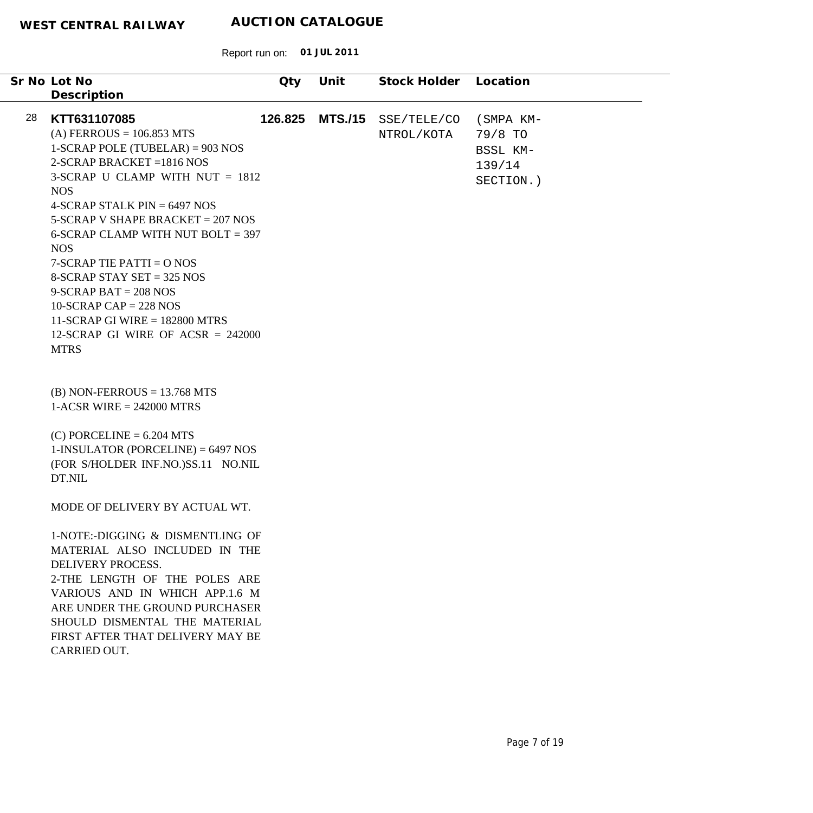|    |                                              |         |                | Stock Holder |           |
|----|----------------------------------------------|---------|----------------|--------------|-----------|
|    | Sr No Lot No                                 | Qty     | Unit           |              | Location  |
|    | Description                                  |         |                |              |           |
| 28 | KTT631107085                                 | 126.825 | <b>MTS./15</b> | SSE/TELE/CO  | (SMPA KM- |
|    | $(A) FERROUS = 106.853 MTS$                  |         |                | NTROL/KOTA   | 79/8 TO   |
|    | $1-SCRAP$ POLE (TUBELAR) = 903 NOS           |         |                |              |           |
|    | $2-SCRAP$ BRACKET = 1816 NOS                 |         |                |              | BSSL KM-  |
|    | 3-SCRAP U CLAMP WITH NUT $= 1812$            |         |                |              | 139/14    |
|    |                                              |         |                |              | SECTION.) |
|    | <b>NOS</b><br>4-SCRAP STALK PIN $= 6497$ NOS |         |                |              |           |
|    |                                              |         |                |              |           |
|    | $5-SCRAP$ V SHAPE BRACKET = 207 NOS          |         |                |              |           |
|    | 6-SCRAP CLAMP WITH NUT BOLT = 397            |         |                |              |           |
|    | <b>NOS</b>                                   |         |                |              |           |
|    | $7-SCRAP$ TIE PATTI = O NOS                  |         |                |              |           |
|    | 8-SCRAP STAY SET = 325 NOS                   |         |                |              |           |
|    | $9-SCRAP BAT = 208 NOS$                      |         |                |              |           |
|    | $10-SCRAP CAP = 228 NOS$                     |         |                |              |           |
|    | 11-SCRAP GI WIRE $= 182800$ MTRS             |         |                |              |           |
|    | 12-SCRAP GI WIRE OF ACSR = $242000$          |         |                |              |           |
|    | <b>MTRS</b>                                  |         |                |              |           |
|    |                                              |         |                |              |           |
|    |                                              |         |                |              |           |
|    | $(B)$ NON-FERROUS = 13.768 MTS               |         |                |              |           |
|    | $1-ACSR$ WIRE = 242000 MTRS                  |         |                |              |           |
|    |                                              |         |                |              |           |
|    | $(C)$ PORCELINE = 6.204 MTS                  |         |                |              |           |
|    | $1$ -INSULATOR (PORCELINE) = 6497 NOS        |         |                |              |           |
|    | (FOR S/HOLDER INF.NO.)SS.11 NO.NIL           |         |                |              |           |
|    | DT.NIL                                       |         |                |              |           |
|    |                                              |         |                |              |           |
|    | MODE OF DELIVERY BY ACTUAL WT.               |         |                |              |           |
|    |                                              |         |                |              |           |
|    | 1-NOTE:-DIGGING & DISMENTLING OF             |         |                |              |           |
|    | MATERIAL ALSO INCLUDED IN THE                |         |                |              |           |
|    | DELIVERY PROCESS.                            |         |                |              |           |
|    | 2-THE LENGTH OF THE POLES ARE                |         |                |              |           |
|    | VARIOUS AND IN WHICH APP.1.6 M               |         |                |              |           |
|    | ARE UNDER THE GROUND PURCHASER               |         |                |              |           |
|    | SHOULD DISMENTAL THE MATERIAL                |         |                |              |           |
|    | FIRST AFTER THAT DELIVERY MAY BE             |         |                |              |           |
|    | CARRIED OUT.                                 |         |                |              |           |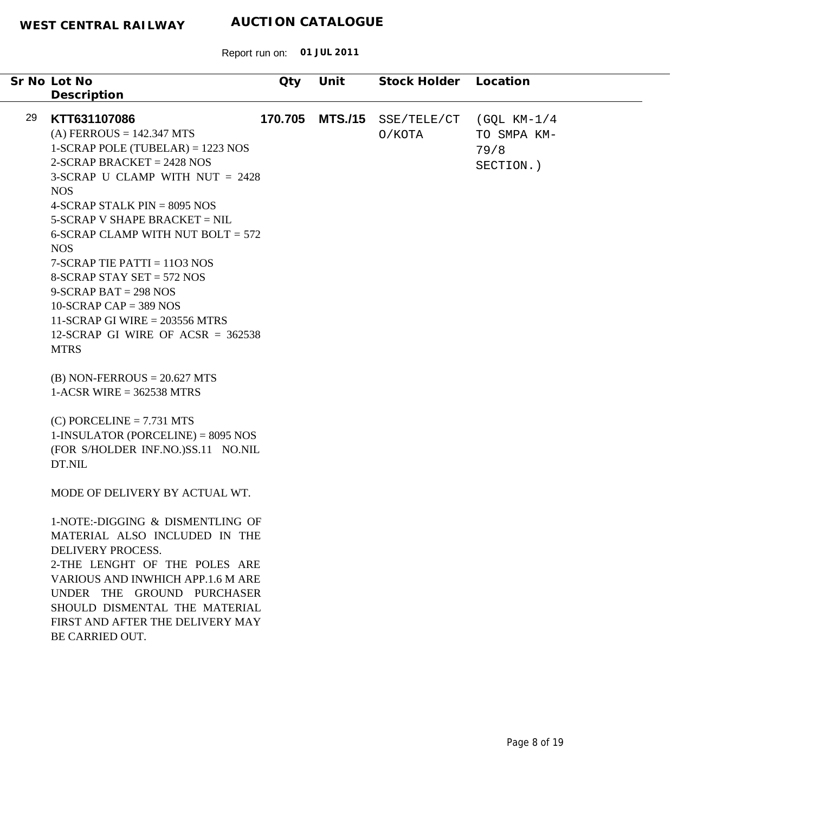|    | Sr No Lot No<br>Description                                                                                                                                                                                                                                                                                                                                                                                                                                                                                        | Qty     | Unit           | Stock Holder          | Location                                           |
|----|--------------------------------------------------------------------------------------------------------------------------------------------------------------------------------------------------------------------------------------------------------------------------------------------------------------------------------------------------------------------------------------------------------------------------------------------------------------------------------------------------------------------|---------|----------------|-----------------------|----------------------------------------------------|
| 29 | KTT631107086<br>$(A) FERROUS = 142.347 MTS$<br>$1-SCRAP$ POLE (TUBELAR) = 1223 NOS<br>$2-SCRAP$ BRACKET = 2428 NOS<br>3-SCRAP U CLAMP WITH NUT $= 2428$<br><b>NOS</b><br>4-SCRAP STALK $PIN = 8095 NOS$<br>$5-SCRAP$ V SHAPE BRACKET = NIL<br>6-SCRAP CLAMP WITH NUT BOLT = $572$<br><b>NOS</b><br>$7-SCRAP$ TIE PATTI = 1103 NOS<br>8-SCRAP STAY SET = $572$ NOS<br>$9-SCRAP BAT = 298 NOS$<br>$10-SCRAP CAP = 389 NOS$<br>11-SCRAP GI WIRE = $203556$ MTRS<br>12-SCRAP GI WIRE OF ACSR = $362538$<br><b>MTRS</b> | 170.705 | <b>MTS./15</b> | SSE/TELE/CT<br>O/KOTA | $(GQL KM-1/4)$<br>TO SMPA KM-<br>79/8<br>SECTION.) |
|    | $(B)$ NON-FERROUS = 20.627 MTS<br>$1-ACSR$ WIRE = 362538 MTRS                                                                                                                                                                                                                                                                                                                                                                                                                                                      |         |                |                       |                                                    |
|    | $(C)$ PORCELINE = 7.731 MTS<br>$1$ -INSULATOR (PORCELINE) = 8095 NOS<br>(FOR S/HOLDER INF.NO.)SS.11 NO.NIL<br>DT.NIL                                                                                                                                                                                                                                                                                                                                                                                               |         |                |                       |                                                    |
|    | MODE OF DELIVERY BY ACTUAL WT.                                                                                                                                                                                                                                                                                                                                                                                                                                                                                     |         |                |                       |                                                    |
|    | 1-NOTE:-DIGGING & DISMENTLING OF<br>MATERIAL ALSO INCLUDED IN THE<br>DELIVERY PROCESS.<br>2-THE LENGHT OF THE POLES ARE<br>VARIOUS AND INWHICH APP.1.6 M ARE<br>UNDER THE GROUND PURCHASER<br>SHOULD DISMENTAL THE MATERIAL<br>FIRST AND AFTER THE DELIVERY MAY<br>BE CARRIED OUT.                                                                                                                                                                                                                                 |         |                |                       |                                                    |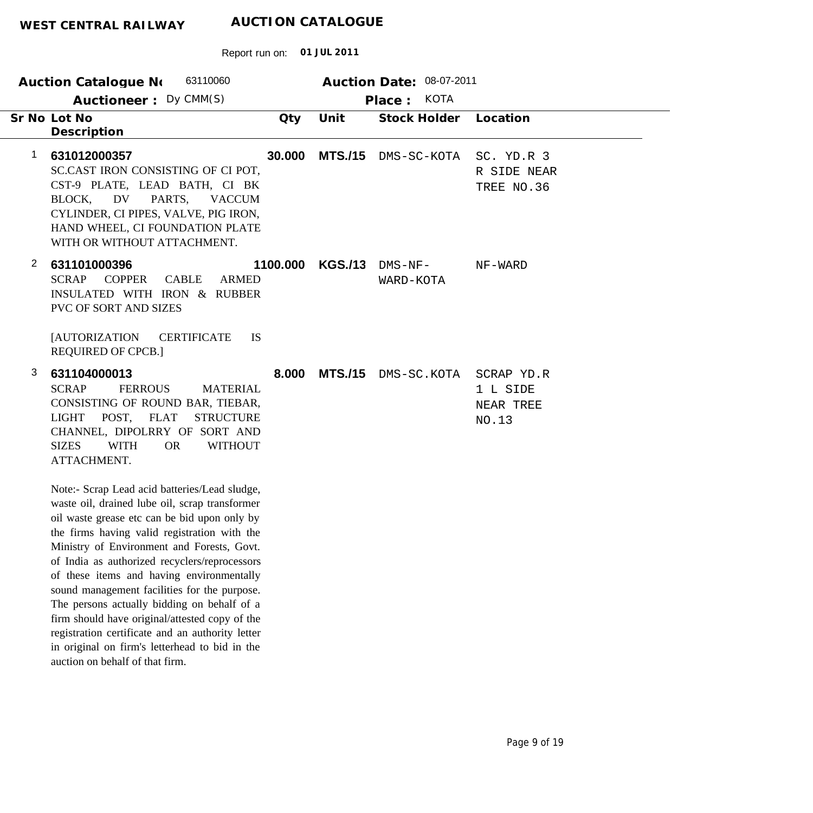| 63110060<br>Auction Date: 08-07-2011<br><b>Auction Catalogue No</b> |                                                                                                                                                                                                                                                                                                                                                                                                                                                                                                                                                                                                                                       |          |                |                        |                                              |  |
|---------------------------------------------------------------------|---------------------------------------------------------------------------------------------------------------------------------------------------------------------------------------------------------------------------------------------------------------------------------------------------------------------------------------------------------------------------------------------------------------------------------------------------------------------------------------------------------------------------------------------------------------------------------------------------------------------------------------|----------|----------------|------------------------|----------------------------------------------|--|
|                                                                     | Auctioneer: Dy CMM(S)                                                                                                                                                                                                                                                                                                                                                                                                                                                                                                                                                                                                                 |          |                | <b>KOTA</b><br>Place:  |                                              |  |
|                                                                     | Sr No Lot No<br>Description                                                                                                                                                                                                                                                                                                                                                                                                                                                                                                                                                                                                           | Qty      | Unit           | <b>Stock Holder</b>    | Location                                     |  |
| 1                                                                   | 631012000357<br>SC.CAST IRON CONSISTING OF CI POT,<br>CST-9 PLATE, LEAD BATH, CI BK<br>PARTS,<br>BLOCK,<br>DV<br><b>VACCUM</b><br>CYLINDER, CI PIPES, VALVE, PIG IRON,<br>HAND WHEEL, CI FOUNDATION PLATE<br>WITH OR WITHOUT ATTACHMENT.                                                                                                                                                                                                                                                                                                                                                                                              | 30.000   | <b>MTS./15</b> | DMS-SC-KOTA            | SC. YD.R 3<br>R SIDE NEAR<br>TREE NO.36      |  |
| $\overline{2}$                                                      | 631101000396<br><b>SCRAP</b><br><b>COPPER</b><br><b>ARMED</b><br><b>CABLE</b><br>INSULATED WITH IRON & RUBBER<br>PVC OF SORT AND SIZES<br><b>[AUTORIZATION</b><br><b>CERTIFICATE</b><br>IS<br><b>REQUIRED OF CPCB.]</b>                                                                                                                                                                                                                                                                                                                                                                                                               | 1100.000 | <b>KGS./13</b> | $DNS-NF-$<br>WARD-KOTA | NF-WARD                                      |  |
| 3                                                                   | 631104000013<br><b>SCRAP</b><br><b>FERROUS</b><br><b>MATERIAL</b><br>CONSISTING OF ROUND BAR, TIEBAR,<br>POST, FLAT<br>LIGHT<br><b>STRUCTURE</b><br>CHANNEL, DIPOLRRY OF SORT AND<br><b>SIZES</b><br><b>WITH</b><br><b>WITHOUT</b><br><b>OR</b><br>ATTACHMENT.                                                                                                                                                                                                                                                                                                                                                                        | 8.000    | <b>MTS./15</b> | DMS-SC.KOTA            | SCRAP YD.R<br>1 L SIDE<br>NEAR TREE<br>NO.13 |  |
|                                                                     | Note:- Scrap Lead acid batteries/Lead sludge,<br>waste oil, drained lube oil, scrap transformer<br>oil waste grease etc can be bid upon only by<br>the firms having valid registration with the<br>Ministry of Environment and Forests, Govt.<br>of India as authorized recyclers/reprocessors<br>of these items and having environmentally<br>sound management facilities for the purpose.<br>The persons actually bidding on behalf of a<br>firm should have original/attested copy of the<br>registration certificate and an authority letter<br>in original on firm's letterhead to bid in the<br>auction on behalf of that firm. |          |                |                        |                                              |  |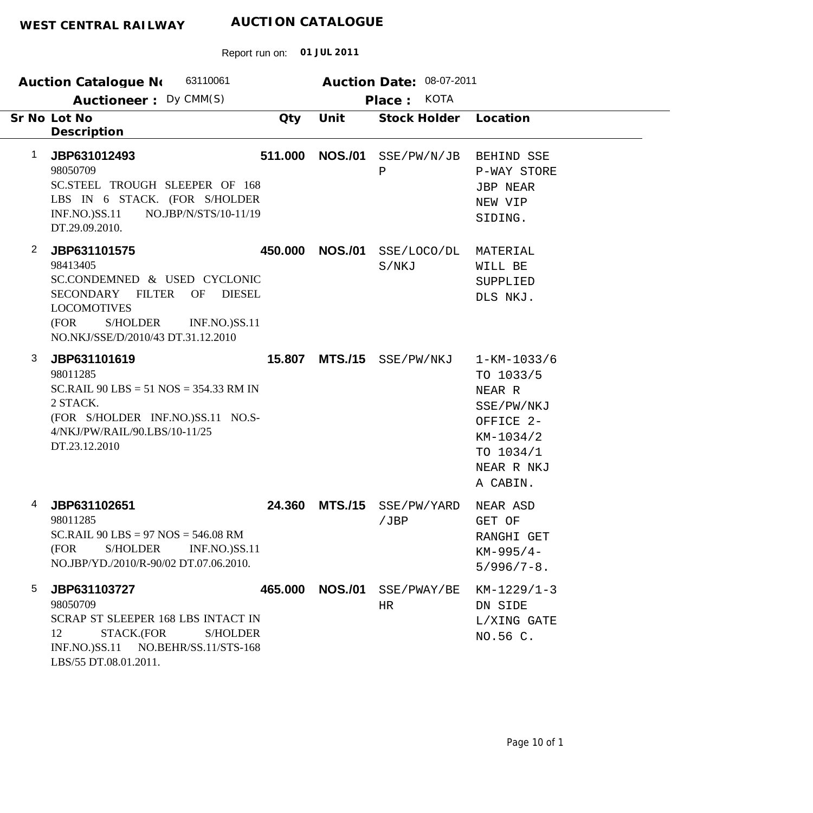| 63110061<br><b>Auction Catalogue No</b><br>Auctioneer: Dy CMM(S)                                                                                                                                                                                                 | Auction Date: 08-07-2011<br><b>KOTA</b><br>Place: |                      |                                                                                                                         |  |
|------------------------------------------------------------------------------------------------------------------------------------------------------------------------------------------------------------------------------------------------------------------|---------------------------------------------------|----------------------|-------------------------------------------------------------------------------------------------------------------------|--|
| Sr No Lot No<br>Qty<br>Description                                                                                                                                                                                                                               | Unit                                              | Stock Holder         | Location                                                                                                                |  |
| 511.000<br>$\mathbf 1$<br>JBP631012493<br>98050709<br>SC.STEEL TROUGH SLEEPER OF 168<br>LBS IN 6 STACK. (FOR S/HOLDER<br><b>INF.NO.)SS.11</b><br>NO.JBP/N/STS/10-11/19<br>DT.29.09.2010.                                                                         | <b>NOS./01</b><br>Ρ                               | SSE/PW/N/JB          | BEHIND SSE<br>P-WAY STORE<br><b>JBP NEAR</b><br>NEW VIP<br>SIDING.                                                      |  |
| $\overline{2}$<br>JBP631101575<br>450.000<br>98413405<br>SC.CONDEMNED & USED CYCLONIC<br><b>FILTER</b><br>OF<br><b>DIESEL</b><br><b>SECONDARY</b><br><b>LOCOMOTIVES</b><br>(FOR<br><b>S/HOLDER</b><br><b>INF.NO.)SS.11</b><br>NO.NKJ/SSE/D/2010/43 DT.31.12.2010 | <b>NOS./01</b>                                    | SSE/LOCO/DL<br>S/NKJ | MATERIAL<br>WILL BE<br>SUPPLIED<br>DLS NKJ.                                                                             |  |
| 3<br>JBP631101619<br>15.807<br>98011285<br>SC.RAIL $90$ LBS = 51 NOS = 354.33 RM IN<br>2 STACK.<br>(FOR S/HOLDER INF.NO.)SS.11 NO.S-<br>4/NKJ/PW/RAIL/90.LBS/10-11/25<br>DT.23.12.2010                                                                           | MTS./15 SSE/PW/NKJ                                |                      | $1 - KM - 1033/6$<br>TO 1033/5<br>NEAR R<br>SSE/PW/NKJ<br>OFFICE 2-<br>KM-1034/2<br>TO 1034/1<br>NEAR R NKJ<br>A CABIN. |  |
| JBP631102651<br>24.360<br>4<br>98011285<br>SC.RAIL $90$ LBS = 97 NOS = 546.08 RM<br>(FOR<br><b>S/HOLDER</b><br><b>INF.NO.)SS.11</b><br>NO.JBP/YD./2010/R-90/02 DT.07.06.2010.                                                                                    | <b>MTS./15</b><br>/JBP                            | SSE/PW/YARD          | NEAR ASD<br>GET OF<br>RANGHI GET<br>$KM-995/4-$<br>$5/996/7 - 8$ .                                                      |  |
| 5<br>JBP631103727<br>465.000<br>98050709<br>SCRAP ST SLEEPER 168 LBS INTACT IN<br>STACK.(FOR<br>12<br><b>S/HOLDER</b><br>INF.NO.)SS.11 NO.BEHR/SS.11/STS-168<br>LBS/55 DT.08.01.2011.                                                                            | <b>NOS./01</b><br>HR                              | SSE/PWAY/BE          | $KM-1229/1-3$<br>DN SIDE<br>L/XING GATE<br>NO.56 C.                                                                     |  |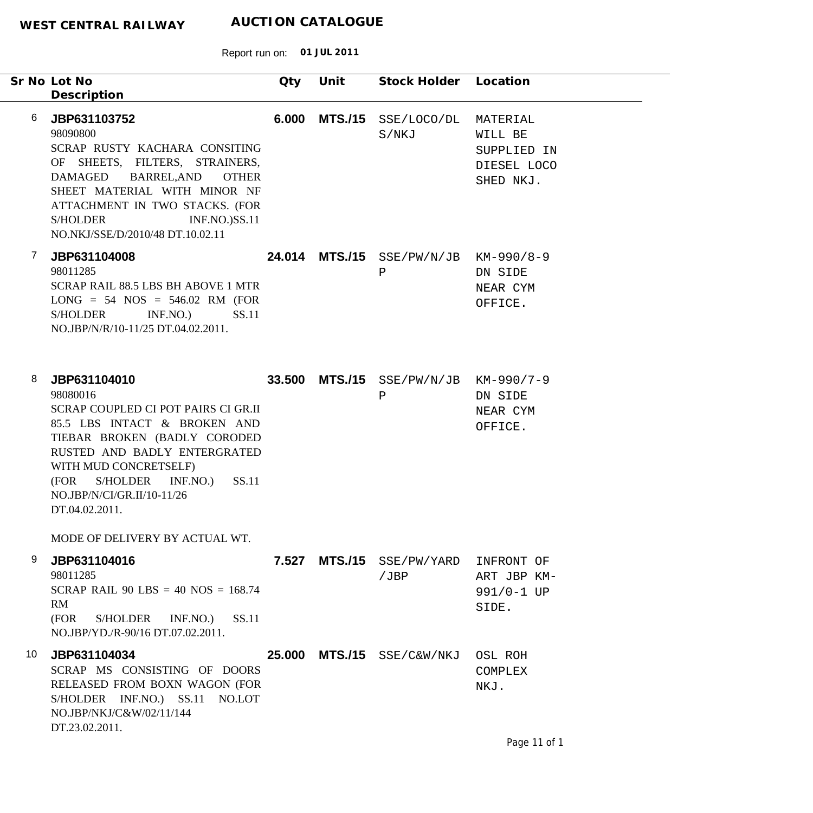|    | Sr No Lot No                                                                                                                                                                                                                                                                                   | Qty    | Unit           | Stock Holder Location                                 |                                                                |
|----|------------------------------------------------------------------------------------------------------------------------------------------------------------------------------------------------------------------------------------------------------------------------------------------------|--------|----------------|-------------------------------------------------------|----------------------------------------------------------------|
| 6  | Description<br>JBP631103752<br>98090800<br>SCRAP RUSTY KACHARA CONSITING<br>OF SHEETS, FILTERS, STRAINERS,<br>DAMAGED<br>BARREL, AND<br><b>OTHER</b><br>SHEET MATERIAL WITH MINOR NF<br>ATTACHMENT IN TWO STACKS. (FOR<br>S/HOLDER<br><b>INF.NO.)SS.11</b><br>NO.NKJ/SSE/D/2010/48 DT.10.02.11 | 6.000  | <b>MTS./15</b> | SSE/LOCO/DL<br>S/NKJ                                  | MATERIAL<br>WILL BE<br>SUPPLIED IN<br>DIESEL LOCO<br>SHED NKJ. |
| 7  | JBP631104008<br>98011285<br>SCRAP RAIL 88.5 LBS BH ABOVE 1 MTR<br>$LONG = 54 NOS = 546.02 RM (FOR)$<br>SS.11<br><b>S/HOLDER</b><br>INF.NO.<br>NO.JBP/N/R/10-11/25 DT.04.02.2011.                                                                                                               |        |                | 24.014 MTS./15 SSE/PW/N/JB KM-990/8-9<br>$\, {\bf P}$ | DN SIDE<br>NEAR CYM<br>OFFICE.                                 |
| 8  | JBP631104010<br>98080016<br>SCRAP COUPLED CI POT PAIRS CI GR.II<br>85.5 LBS INTACT & BROKEN AND<br>TIEBAR BROKEN (BADLY CORODED<br>RUSTED AND BADLY ENTERGRATED<br>WITH MUD CONCRETSELF)<br>SS.11<br>S/HOLDER INF.NO.)<br>(FOR<br>NO.JBP/N/CI/GR.II/10-11/26<br>DT.04.02.2011.                 |        |                | 33.500 MTS./15 SSE/PW/N/JB KM-990/7-9<br>$\, {\bf P}$ | DN SIDE<br>NEAR CYM<br>OFFICE.                                 |
| 9  | MODE OF DELIVERY BY ACTUAL WT.<br>JBP631104016<br>98011285<br>SCRAP RAIL 90 LBS = 40 NOS = $168.74$<br>RM<br>(FOR<br>S/HOLDER<br>INF.NO.)<br>SS.11<br>NO.JBP/YD./R-90/16 DT.07.02.2011.                                                                                                        |        |                | 7.527 MTS./15 SSE/PW/YARD<br>/JBP                     | INFRONT OF<br>ART JBP KM-<br>991/0-1 UP<br>SIDE.               |
| 10 | JBP631104034<br>SCRAP MS CONSISTING OF DOORS<br>RELEASED FROM BOXN WAGON (FOR<br>S/HOLDER INF.NO.) SS.11 NO.LOT<br>NO.JBP/NKJ/C&W/02/11/144<br>DT.23.02.2011.                                                                                                                                  | 25.000 |                | $MTS./15$ $SSE/C\&W/NKJ$                              | OSL ROH<br>COMPLEX<br>NKJ.                                     |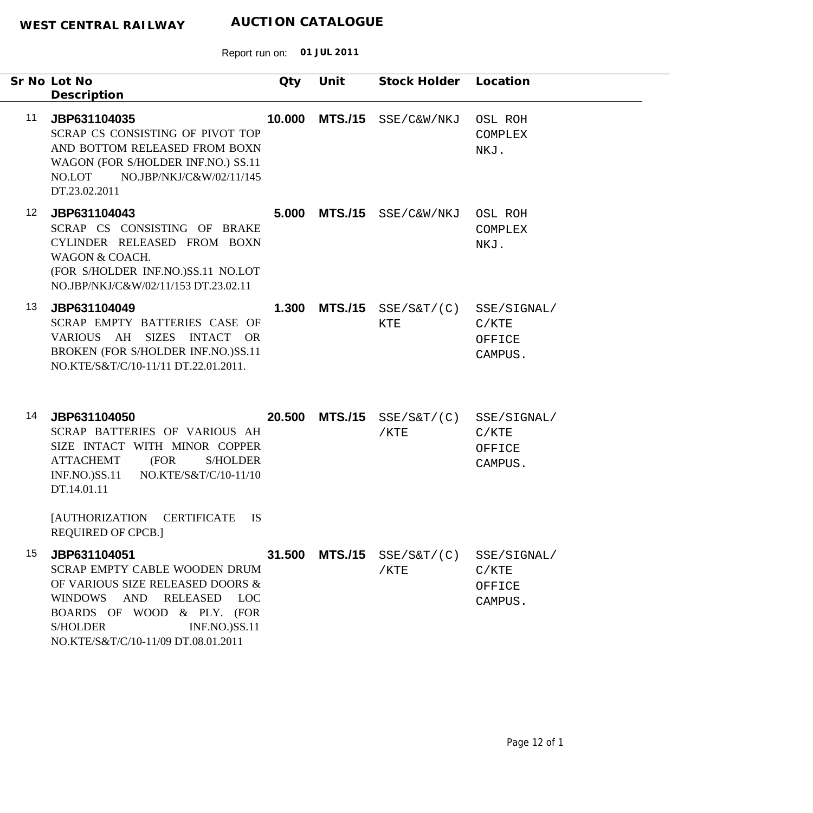|                 | Sr No Lot No<br>Description                                                                                                                                                                                                                                | Qty    | Unit           | Stock Holder                       | Location                                  |
|-----------------|------------------------------------------------------------------------------------------------------------------------------------------------------------------------------------------------------------------------------------------------------------|--------|----------------|------------------------------------|-------------------------------------------|
| 11              | JBP631104035<br>SCRAP CS CONSISTING OF PIVOT TOP<br>AND BOTTOM RELEASED FROM BOXN<br>WAGON (FOR S/HOLDER INF.NO.) SS.11<br>NO.JBP/NKJ/C&W/02/11/145<br>NO.LOT<br>DT.23.02.2011                                                                             | 10.000 | <b>MTS./15</b> | SSE/C&W/NKJ                        | OSL ROH<br><b>COMPLEX</b><br>NKJ.         |
| 12 <sup>°</sup> | JBP631104043<br>SCRAP CS CONSISTING OF BRAKE<br>CYLINDER RELEASED FROM BOXN<br>WAGON & COACH.<br>(FOR S/HOLDER INF.NO.)SS.11 NO.LOT<br>NO.JBP/NKJ/C&W/02/11/153 DT.23.02.11                                                                                |        |                | 5.000 MTS./15 SSE/C&W/NKJ          | OSL ROH<br>COMPLEX<br>NKJ.                |
| 13              | JBP631104049<br>SCRAP EMPTY BATTERIES CASE OF<br>VARIOUS AH SIZES INTACT OR<br>BROKEN (FOR S/HOLDER INF.NO.)SS.11<br>NO.KTE/S&T/C/10-11/11 DT.22.01.2011.                                                                                                  | 1.300  |                | $MTS./15$ $SSE/S&T/(C)$<br>KTE     | SSE/SIGNAL/<br>C/KTE<br>OFFICE<br>CAMPUS. |
| 14              | JBP631104050<br>SCRAP BATTERIES OF VARIOUS AH<br>SIZE INTACT WITH MINOR COPPER<br><b>ATTACHEMT</b><br>(FOR<br><b>S/HOLDER</b><br>$INF.NO.$ ) $SS.11$<br>NO.KTE/S&T/C/10-11/10<br>DT.14.01.11<br>[AUTHORIZATION CERTIFICATE<br><b>IS</b>                    | 20.500 | <b>MTS./15</b> | $SSE/S\&T/(C)$<br>$/$ KTE          | SSE/SIGNAL/<br>C/KTE<br>OFFICE<br>CAMPUS. |
| 15              | <b>REQUIRED OF CPCB.]</b><br>JBP631104051<br>SCRAP EMPTY CABLE WOODEN DRUM<br>OF VARIOUS SIZE RELEASED DOORS &<br>WINDOWS AND RELEASED LOC<br>BOARDS OF WOOD & PLY. (FOR<br><b>S/HOLDER</b><br><b>INF.NO.)SS.11</b><br>NO.KTE/S&T/C/10-11/09 DT.08.01.2011 | 31.500 |                | $MTS./15$ $SSE/S&T/(C)$<br>$/$ KTE | SSE/SIGNAL/<br>C/KTE<br>OFFICE<br>CAMPUS. |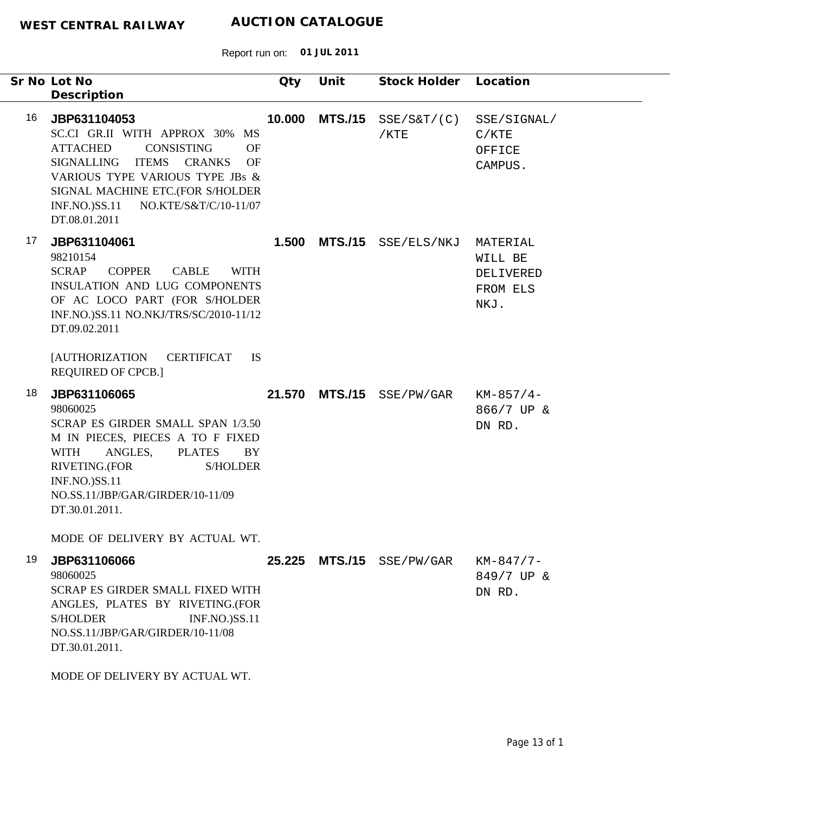|    | Sr No Lot No<br>Description                                                                                                                                                                                                                                                                                          | Qty    | Unit           | Stock Holder Location  |                                                      |
|----|----------------------------------------------------------------------------------------------------------------------------------------------------------------------------------------------------------------------------------------------------------------------------------------------------------------------|--------|----------------|------------------------|------------------------------------------------------|
| 16 | JBP631104053<br>SC.CI GR.II WITH APPROX 30%<br><b>MS</b><br><b>ATTACHED</b><br>CONSISTING<br><b>OF</b><br><b>ITEMS</b><br><b>CRANKS</b><br><b>SIGNALLING</b><br><b>OF</b><br>VARIOUS TYPE VARIOUS TYPE JBs &<br>SIGNAL MACHINE ETC.(FOR S/HOLDER<br><b>INF.NO.)SS.11</b><br>NO.KTE/S&T/C/10-11/07<br>DT.08.01.2011   | 10.000 | <b>MTS./15</b> | SSE/SET/(C)<br>$/$ KTE | SSE/SIGNAL/<br>C/KTE<br>OFFICE<br>CAMPUS.            |
| 17 | JBP631104061<br>98210154<br><b>SCRAP</b><br><b>COPPER</b><br><b>CABLE</b><br><b>WITH</b><br><b>INSULATION AND LUG COMPONENTS</b><br>OF AC LOCO PART (FOR S/HOLDER<br>INF.NO.)SS.11 NO.NKJ/TRS/SC/2010-11/12<br>DT.09.02.2011<br><b>[AUTHORIZATION</b><br><b>CERTIFICAT</b><br><b>IS</b><br><b>REQUIRED OF CPCB.]</b> | 1.500  | <b>MTS./15</b> | SSE/ELS/NKJ            | MATERIAL<br>WILL BE<br>DELIVERED<br>FROM ELS<br>NKJ. |
| 18 | JBP631106065<br>98060025<br>SCRAP ES GIRDER SMALL SPAN 1/3.50<br>M IN PIECES, PIECES A TO F FIXED<br>ANGLES,<br><b>PLATES</b><br><b>WITH</b><br><b>BY</b><br>RIVETING.(FOR<br><b>S/HOLDER</b><br><b>INF.NO.)SS.11</b><br>NO.SS.11/JBP/GAR/GIRDER/10-11/09<br>DT.30.01.2011.                                          | 21.570 | <b>MTS./15</b> | SSE/PW/GAR             | $KM-857/4-$<br>866/7 UP &<br>DN RD.                  |
| 19 | MODE OF DELIVERY BY ACTUAL WT.<br>JBP631106066<br>98060025<br>SCRAP ES GIRDER SMALL FIXED WITH<br>ANGLES, PLATES BY RIVETING.(FOR<br><b>S/HOLDER</b><br><b>INF.NO.)SS.11</b><br>NO.SS.11/JBP/GAR/GIRDER/10-11/08<br>DT.30.01.2011.<br>MODE OF DELIVERY BY ACTUAL WT.                                                 | 25.225 | <b>MTS./15</b> | SSE/PW/GAR             | $KM-847/7-$<br>849/7 UP &<br>DN RD.                  |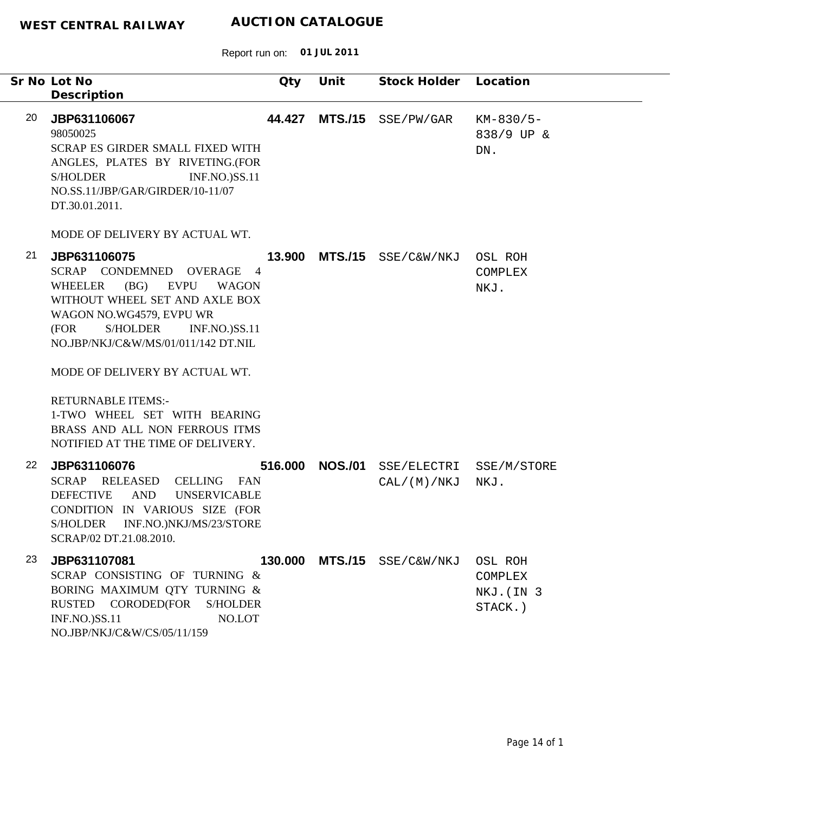|    | Sr No Lot No<br>Description                                                                                                                                                                                                                                                                                                                                                                                                                                                 | Qty     | Unit           | Stock Holder Location       |                                             |
|----|-----------------------------------------------------------------------------------------------------------------------------------------------------------------------------------------------------------------------------------------------------------------------------------------------------------------------------------------------------------------------------------------------------------------------------------------------------------------------------|---------|----------------|-----------------------------|---------------------------------------------|
| 20 | JBP631106067<br>98050025<br>SCRAP ES GIRDER SMALL FIXED WITH<br>ANGLES, PLATES BY RIVETING.(FOR<br><b>INF.NO.)SS.11</b><br><b>S/HOLDER</b><br>NO.SS.11/JBP/GAR/GIRDER/10-11/07<br>DT.30.01.2011.                                                                                                                                                                                                                                                                            | 44.427  | <b>MTS./15</b> | SSE/PW/GAR                  | $KM-830/5-$<br>838/9 UP &<br>DN.            |
| 21 | MODE OF DELIVERY BY ACTUAL WT.<br>JBP631106075<br>SCRAP CONDEMNED OVERAGE<br>$\overline{4}$<br>(BG)<br><b>WHEELER</b><br>EVPU<br><b>WAGON</b><br>WITHOUT WHEEL SET AND AXLE BOX<br>WAGON NO.WG4579, EVPU WR<br>(FOR<br><b>S/HOLDER</b><br><b>INF.NO.)SS.11</b><br>NO.JBP/NKJ/C&W/MS/01/011/142 DT.NIL<br>MODE OF DELIVERY BY ACTUAL WT.<br><b>RETURNABLE ITEMS:-</b><br>1-TWO WHEEL SET WITH BEARING<br>BRASS AND ALL NON FERROUS ITMS<br>NOTIFIED AT THE TIME OF DELIVERY. | 13.900  | <b>MTS./15</b> | SSE/C&W/NKJ                 | OSL ROH<br>COMPLEX<br>NKJ.                  |
| 22 | JBP631106076<br>SCRAP RELEASED<br>CELLING FAN<br><b>AND</b><br><b>DEFECTIVE</b><br><b>UNSERVICABLE</b><br>CONDITION IN VARIOUS SIZE (FOR<br><b>S/HOLDER</b><br>INF.NO.)NKJ/MS/23/STORE<br>SCRAP/02 DT.21.08.2010.                                                                                                                                                                                                                                                           | 516.000 | <b>NOS./01</b> | CAL / (M) / NKJ             | SSE/ELECTRI SSE/M/STORE<br>NKJ.             |
| 23 | JBP631107081<br>SCRAP CONSISTING OF TURNING &<br>BORING MAXIMUM QTY TURNING &<br>RUSTED CORODED(FOR<br><b>S/HOLDER</b><br><b>INF.NO.)SS.11</b><br>NO.LOT<br>NO.JBP/NKJ/C&W/CS/05/11/159                                                                                                                                                                                                                                                                                     |         |                | 130.000 MTS./15 SSE/C&W/NKJ | OSL ROH<br>COMPLEX<br>NKJ. (IN 3<br>STACK.) |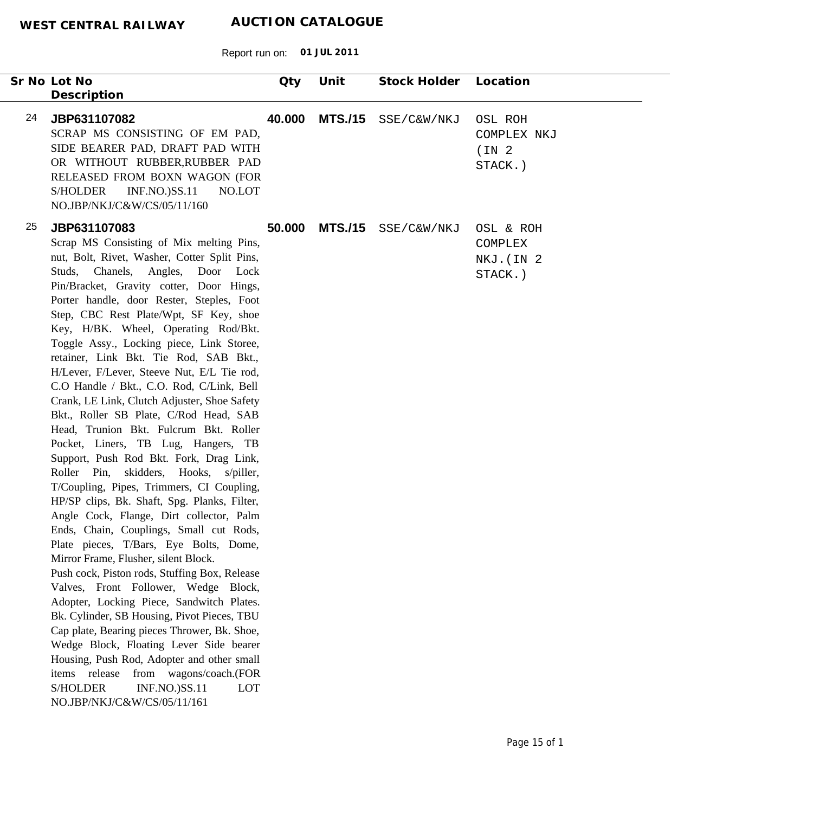Report run on: **01 JUL 2011**

|    | Sr No Lot No                                                                                                                                                                                                                                                                                                                                                                                                                                                                                                                                                                                                                                                                                                                                                                                                                                                                                                                                                                                                                                                                                                                                                                                                                                                                                                                                                                                                                                                                                            | Qty    | Unit           | Stock Holder | Location                                                |
|----|---------------------------------------------------------------------------------------------------------------------------------------------------------------------------------------------------------------------------------------------------------------------------------------------------------------------------------------------------------------------------------------------------------------------------------------------------------------------------------------------------------------------------------------------------------------------------------------------------------------------------------------------------------------------------------------------------------------------------------------------------------------------------------------------------------------------------------------------------------------------------------------------------------------------------------------------------------------------------------------------------------------------------------------------------------------------------------------------------------------------------------------------------------------------------------------------------------------------------------------------------------------------------------------------------------------------------------------------------------------------------------------------------------------------------------------------------------------------------------------------------------|--------|----------------|--------------|---------------------------------------------------------|
|    | Description                                                                                                                                                                                                                                                                                                                                                                                                                                                                                                                                                                                                                                                                                                                                                                                                                                                                                                                                                                                                                                                                                                                                                                                                                                                                                                                                                                                                                                                                                             |        |                |              |                                                         |
| 24 | JBP631107082<br>SCRAP MS CONSISTING OF EM PAD,<br>SIDE BEARER PAD, DRAFT PAD WITH<br>OR WITHOUT RUBBER, RUBBER PAD<br>RELEASED FROM BOXN WAGON (FOR<br><b>S/HOLDER</b><br><b>INF.NO.)SS.11</b><br>NO.LOT<br>NO.JBP/NKJ/C&W/CS/05/11/160                                                                                                                                                                                                                                                                                                                                                                                                                                                                                                                                                                                                                                                                                                                                                                                                                                                                                                                                                                                                                                                                                                                                                                                                                                                                 | 40.000 | <b>MTS./15</b> | SSE/C&W/NKJ  | OSL ROH<br>COMPLEX NKJ<br>(IN <sub>2</sub> )<br>STACK.) |
| 25 | JBP631107083<br>Scrap MS Consisting of Mix melting Pins,<br>nut, Bolt, Rivet, Washer, Cotter Split Pins,<br>Studs, Chanels, Angles, Door Lock<br>Pin/Bracket, Gravity cotter, Door Hings,<br>Porter handle, door Rester, Steples, Foot<br>Step, CBC Rest Plate/Wpt, SF Key, shoe<br>Key, H/BK. Wheel, Operating Rod/Bkt.<br>Toggle Assy., Locking piece, Link Storee,<br>retainer, Link Bkt. Tie Rod, SAB Bkt.,<br>H/Lever, F/Lever, Steeve Nut, E/L Tie rod,<br>C.O Handle / Bkt., C.O. Rod, C/Link, Bell<br>Crank, LE Link, Clutch Adjuster, Shoe Safety<br>Bkt., Roller SB Plate, C/Rod Head, SAB<br>Head, Trunion Bkt. Fulcrum Bkt. Roller<br>Pocket, Liners, TB Lug, Hangers, TB<br>Support, Push Rod Bkt. Fork, Drag Link,<br>Roller Pin, skidders, Hooks, s/piller,<br>T/Coupling, Pipes, Trimmers, CI Coupling,<br>HP/SP clips, Bk. Shaft, Spg. Planks, Filter,<br>Angle Cock, Flange, Dirt collector, Palm<br>Ends, Chain, Couplings, Small cut Rods,<br>Plate pieces, T/Bars, Eye Bolts, Dome,<br>Mirror Frame, Flusher, silent Block.<br>Push cock, Piston rods, Stuffing Box, Release<br>Valves, Front Follower, Wedge Block,<br>Adopter, Locking Piece, Sandwitch Plates.<br>Bk. Cylinder, SB Housing, Pivot Pieces, TBU<br>Cap plate, Bearing pieces Thrower, Bk. Shoe,<br>Wedge Block, Floating Lever Side bearer<br>Housing, Push Rod, Adopter and other small<br>items release from wagons/coach.(FOR<br><b>S/HOLDER</b><br><b>INF.NO.)SS.11</b><br>LOT<br>NO.JBP/NKJ/C&W/CS/05/11/161 | 50.000 | <b>MTS./15</b> | SSE/C&W/NKJ  | OSL & ROH<br>COMPLEX<br>NKJ. (IN 2<br>STACK.)           |

 $\overline{\phantom{0}}$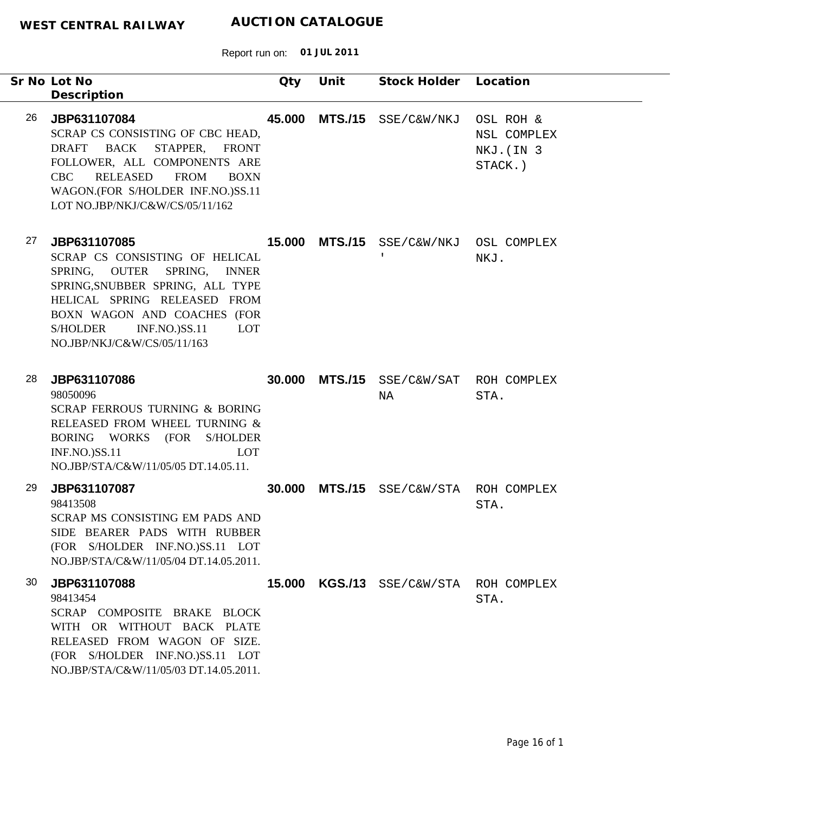|    | Sr No Lot No<br>Description                                                                                                                                                                                                                                              | Qty    | Unit           | Stock Holder Location                   |                                                   |
|----|--------------------------------------------------------------------------------------------------------------------------------------------------------------------------------------------------------------------------------------------------------------------------|--------|----------------|-----------------------------------------|---------------------------------------------------|
| 26 | JBP631107084<br>SCRAP CS CONSISTING OF CBC HEAD,<br>DRAFT BACK STAPPER, FRONT<br>FOLLOWER, ALL COMPONENTS ARE<br>RELEASED<br><b>FROM</b><br>CBC<br><b>BOXN</b><br>WAGON.(FOR S/HOLDER INF.NO.)SS.11<br>LOT NO.JBP/NKJ/C&W/CS/05/11/162                                   | 45.000 | <b>MTS./15</b> | SSE/C&W/NKJ                             | OSL ROH &<br>NSL COMPLEX<br>NKJ. (IN 3<br>STACK.) |
| 27 | JBP631107085<br>SCRAP CS CONSISTING OF HELICAL<br>SPRING, OUTER SPRING, INNER<br>SPRING, SNUBBER SPRING, ALL TYPE<br>HELICAL SPRING RELEASED FROM<br>BOXN WAGON AND COACHES (FOR<br><b>INF.NO.)SS.11</b><br><b>S/HOLDER</b><br><b>LOT</b><br>NO.JBP/NKJ/C&W/CS/05/11/163 | 15.000 | <b>MTS./15</b> | SSE/C&W/NKJ OSL COMPLEX<br>$\mathbf{L}$ | NKJ.                                              |
| 28 | JBP631107086<br>98050096<br>SCRAP FERROUS TURNING & BORING<br>RELEASED FROM WHEEL TURNING &<br>BORING WORKS (FOR S/HOLDER<br><b>INF.NO.)SS.11</b><br>LOT<br>NO.JBP/STA/C&W/11/05/05 DT.14.05.11.                                                                         | 30.000 | <b>MTS./15</b> | SSE/C&W/SAT ROH COMPLEX<br>NA           | STA.                                              |
| 29 | JBP631107087<br>98413508<br>SCRAP MS CONSISTING EM PADS AND<br>SIDE BEARER PADS WITH RUBBER<br>(FOR S/HOLDER INF.NO.)SS.11 LOT<br>NO.JBP/STA/C&W/11/05/04 DT.14.05.2011.                                                                                                 | 30.000 | <b>MTS./15</b> |                                         | SSE/C&W/STA ROH COMPLEX<br>STA.                   |
| 30 | JBP631107088<br>98413454<br>SCRAP COMPOSITE BRAKE BLOCK<br>WITH OR WITHOUT BACK PLATE<br>RELEASED FROM WAGON OF SIZE.<br>(FOR S/HOLDER INF.NO.)SS.11 LOT<br>NO.JBP/STA/C&W/11/05/03 DT.14.05.2011.                                                                       | 15,000 |                | KGS./13 SSE/C&W/STA ROH COMPLEX         | STA.                                              |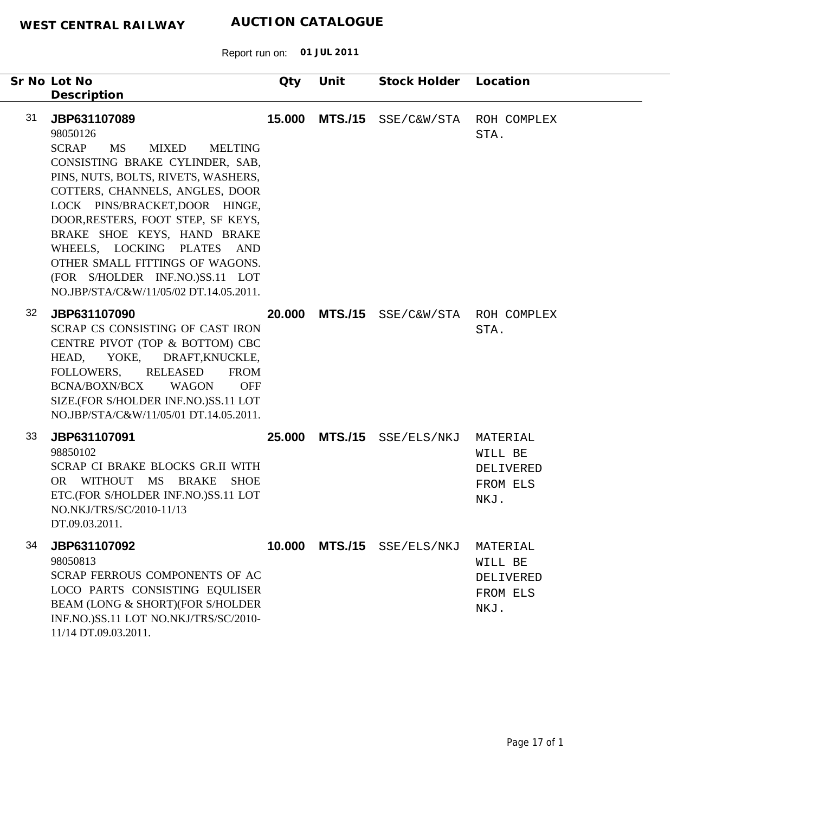|    | Sr No Lot No<br>Description                                                                                                                                                                                                                                                                                                                                                                                                                 | Qty    | Unit | Stock Holder Location           |                                                      |
|----|---------------------------------------------------------------------------------------------------------------------------------------------------------------------------------------------------------------------------------------------------------------------------------------------------------------------------------------------------------------------------------------------------------------------------------------------|--------|------|---------------------------------|------------------------------------------------------|
| 31 | JBP631107089<br>98050126<br><b>SCRAP</b><br>MS<br>MIXED<br><b>MELTING</b><br>CONSISTING BRAKE CYLINDER, SAB,<br>PINS, NUTS, BOLTS, RIVETS, WASHERS,<br>COTTERS, CHANNELS, ANGLES, DOOR<br>LOCK PINS/BRACKET, DOOR HINGE,<br>DOOR, RESTERS, FOOT STEP, SF KEYS,<br>BRAKE SHOE KEYS, HAND BRAKE<br>WHEELS, LOCKING PLATES AND<br>OTHER SMALL FITTINGS OF WAGONS.<br>(FOR S/HOLDER INF.NO.)SS.11 LOT<br>NO.JBP/STA/C&W/11/05/02 DT.14.05.2011. | 15.000 |      | MTS./15 SSE/C&W/STA             | ROH COMPLEX<br>STA.                                  |
| 32 | JBP631107090<br>SCRAP CS CONSISTING OF CAST IRON<br>CENTRE PIVOT (TOP & BOTTOM) CBC<br>HEAD, YOKE, DRAFT, KNUCKLE,<br>FOLLOWERS,<br>RELEASED<br><b>FROM</b><br>BCNA/BOXN/BCX<br>WAGON<br><b>OFF</b><br>SIZE.(FOR S/HOLDER INF.NO.)SS.11 LOT<br>NO.JBP/STA/C&W/11/05/01 DT.14.05.2011.                                                                                                                                                       | 20.000 |      | MTS./15 SSE/C&W/STA ROH COMPLEX | STA.                                                 |
| 33 | JBP631107091<br>98850102<br>SCRAP CI BRAKE BLOCKS GR.II WITH<br>OR WITHOUT MS BRAKE SHOE<br>ETC.(FOR S/HOLDER INF.NO.)SS.11 LOT<br>NO.NKJ/TRS/SC/2010-11/13<br>DT.09.03.2011.                                                                                                                                                                                                                                                               | 25.000 |      | MTS./15 SSE/ELS/NKJ             | MATERIAL<br>WILL BE<br>DELIVERED<br>FROM ELS<br>NKJ. |
| 34 | JBP631107092<br>98050813<br>SCRAP FERROUS COMPONENTS OF AC<br>LOCO PARTS CONSISTING EQULISER<br>BEAM (LONG & SHORT)(FOR S/HOLDER<br>INF.NO.)SS.11 LOT NO.NKJ/TRS/SC/2010-<br>11/14 DT.09.03.2011.                                                                                                                                                                                                                                           |        |      | 10.000 MTS./15 SSE/ELS/NKJ      | MATERIAL<br>WILL BE<br>DELIVERED<br>FROM ELS<br>NKJ. |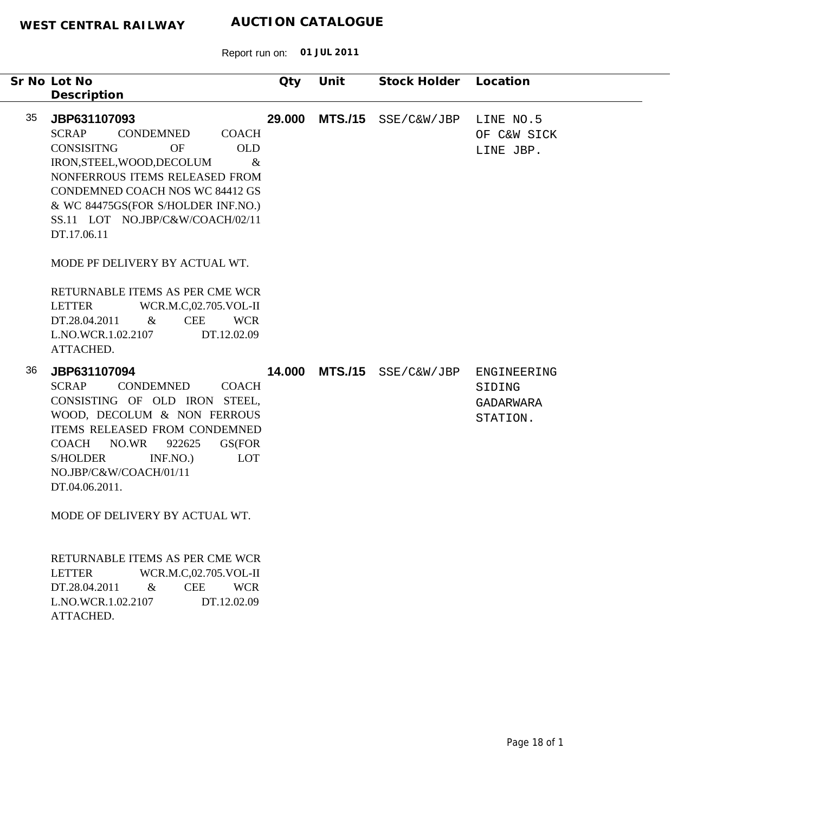|    | Sr No Lot No                                                                                                                                                                                                                                                                                                                                           | Qty    | Unit           | Stock Holder        | Location                                       |
|----|--------------------------------------------------------------------------------------------------------------------------------------------------------------------------------------------------------------------------------------------------------------------------------------------------------------------------------------------------------|--------|----------------|---------------------|------------------------------------------------|
|    | Description                                                                                                                                                                                                                                                                                                                                            |        |                |                     |                                                |
| 35 | JBP631107093<br><b>SCRAP</b><br><b>CONDEMNED</b><br><b>COACH</b><br><b>CONSISITNG</b><br><b>OF</b><br><b>OLD</b><br>IRON, STEEL, WOOD, DECOLUM<br>$\&$<br>NONFERROUS ITEMS RELEASED FROM<br>CONDEMNED COACH NOS WC 84412 GS<br>& WC 84475GS(FOR S/HOLDER INF.NO.)<br>SS.11 LOT NO.JBP/C&W/COACH/02/11<br>DT.17.06.11<br>MODE PF DELIVERY BY ACTUAL WT. | 29.000 | <b>MTS./15</b> | SSE/C&W/JBP         | LINE NO.5<br>OF C&W SICK<br>LINE JBP.          |
|    | RETURNABLE ITEMS AS PER CME WCR<br><b>LETTER</b><br>WCR.M.C,02.705.VOL-II<br><b>CEE</b><br><b>WCR</b><br>DT.28.04.2011<br>$\&$<br>L.NO.WCR.1.02.2107<br>DT.12.02.09<br>ATTACHED.                                                                                                                                                                       |        |                |                     |                                                |
| 36 | JBP631107094<br><b>SCRAP</b><br>CONDEMNED<br><b>COACH</b><br>CONSISTING OF OLD IRON STEEL,<br>WOOD, DECOLUM & NON FERROUS<br>ITEMS RELEASED FROM CONDEMNED<br><b>COACH</b><br>NO.WR<br>922625<br>GS(FOR<br>LOT<br><b>S/HOLDER</b><br>INF.NO.)<br>NO.JBP/C&W/COACH/01/11<br>DT.04.06.2011.<br>MODE OF DELIVERY BY ACTUAL WT.                            | 14.000 |                | MTS./15 SSE/C&W/JBP | ENGINEERING<br>SIDING<br>GADARWARA<br>STATION. |
|    | RETURNABLE ITEMS AS PER CME WCR<br><b>LETTER</b><br>WCR.M.C,02.705.VOL-II<br>$\&$<br><b>CEE</b><br><b>WCR</b><br>DT.28.04.2011<br>L.NO.WCR.1.02.2107<br>DT.12.02.09<br>ATTACHED.                                                                                                                                                                       |        |                |                     |                                                |